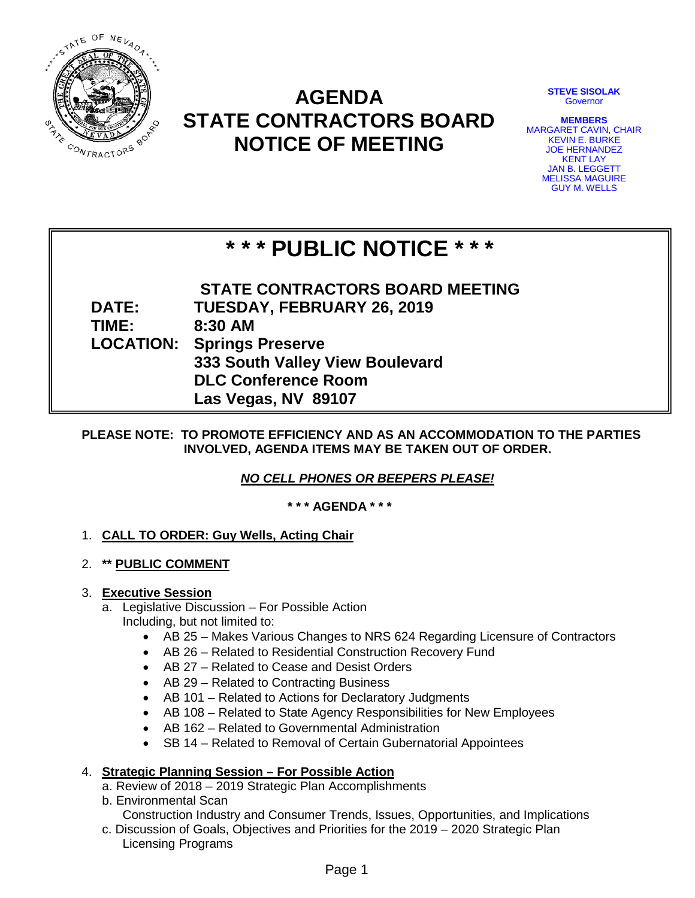

## **AGENDA STATE CONTRACTORS BOARD NOTICE OF MEETING**

**STEVE SISOLAK Governor** 

**MEMBERS** MARGARET CAVIN, CHAIR KEVIN E. BURKE JOE HERNANDEZ KENT LAY JAN B. LEGGETT MELISSA MAGUIRE GUY M. WELLS

# **\* \* \* PUBLIC NOTICE \* \* \***

**STATE CONTRACTORS BOARD MEETING DATE: TUESDAY, FEBRUARY 26, 2019 TIME: 8:30 AM LOCATION: Springs Preserve 333 South Valley View Boulevard DLC Conference Room Las Vegas, NV 89107**

## **PLEASE NOTE: TO PROMOTE EFFICIENCY AND AS AN ACCOMMODATION TO THE PARTIES INVOLVED, AGENDA ITEMS MAY BE TAKEN OUT OF ORDER.**

*NO CELL PHONES OR BEEPERS PLEASE!* 

**\* \* \* AGENDA \* \* \***

## 1. **CALL TO ORDER: Guy Wells, Acting Chair**

2. **\*\* PUBLIC COMMENT**

## 3. **Executive Session**

- a. Legislative Discussion For Possible Action Including, but not limited to:
	- AB 25 Makes Various Changes to NRS 624 Regarding Licensure of Contractors
	- AB 26 Related to Residential Construction Recovery Fund
	- AB 27 Related to Cease and Desist Orders
	- AB 29 Related to Contracting Business
	- AB 101 Related to Actions for Declaratory Judgments
	- AB 108 Related to State Agency Responsibilities for New Employees
	- AB 162 Related to Governmental Administration
	- SB 14 Related to Removal of Certain Gubernatorial Appointees

## 4. **Strategic Planning Session – For Possible Action**

- a. Review of 2018 2019 Strategic Plan Accomplishments
- b. Environmental Scan

Construction Industry and Consumer Trends, Issues, Opportunities, and Implications

c. Discussion of Goals, Objectives and Priorities for the 2019 – 2020 Strategic Plan Licensing Programs